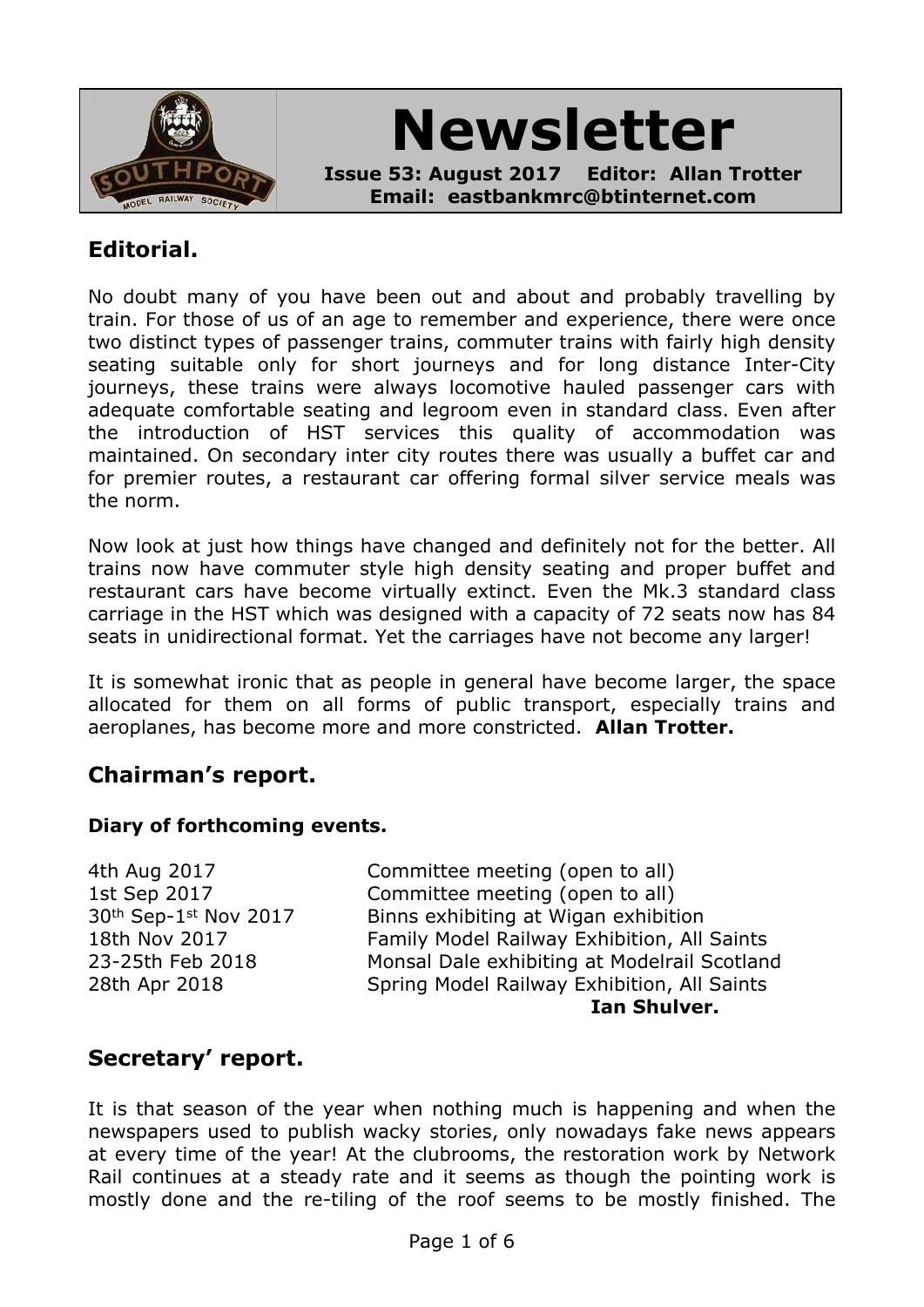

# **Newsletter**

**Issue 53: August 2017 Editor: Allan Trotter Email: eastbankmrc@btinternet.com**

## **Editorial.**

No doubt many of you have been out and about and probably travelling by train. For those of us of an age to remember and experience, there were once two distinct types of passenger trains, commuter trains with fairly high density seating suitable only for short journeys and for long distance Inter-City journeys, these trains were always locomotive hauled passenger cars with adequate comfortable seating and legroom even in standard class. Even after the introduction of HST services this quality of accommodation was maintained. On secondary inter city routes there was usually a buffet car and for premier routes, a restaurant car offering formal silver service meals was the norm.

Now look at just how things have changed and definitely not for the better. All trains now have commuter style high density seating and proper buffet and restaurant cars have become virtually extinct. Even the Mk.3 standard class carriage in the HST which was designed with a capacity of 72 seats now has 84 seats in unidirectional format. Yet the carriages have not become any larger!

It is somewhat ironic that as people in general have become larger, the space allocated for them on all forms of public transport, especially trains and aeroplanes, has become more and more constricted. **Allan Trotter.**

## **Chairman's report.**

#### **Diary of forthcoming events.**

4th Aug 2017 Committee meeting (open to all) 1st Sep 2017 Committee meeting (open to all) 30th Sep-1st Nov 2017 Binns exhibiting at Wigan exhibition 18th Nov 2017 **Family Model Railway Exhibition, All Saints** 23-25th Feb 2018 Monsal Dale exhibiting at Modelrail Scotland 28th Apr 2018 Spring Model Railway Exhibition, All Saints **Ian Shulver.**

## **Secretary' report.**

It is that season of the year when nothing much is happening and when the newspapers used to publish wacky stories, only nowadays fake news appears at every time of the year! At the clubrooms, the restoration work by Network Rail continues at a steady rate and it seems as though the pointing work is mostly done and the re-tiling of the roof seems to be mostly finished. The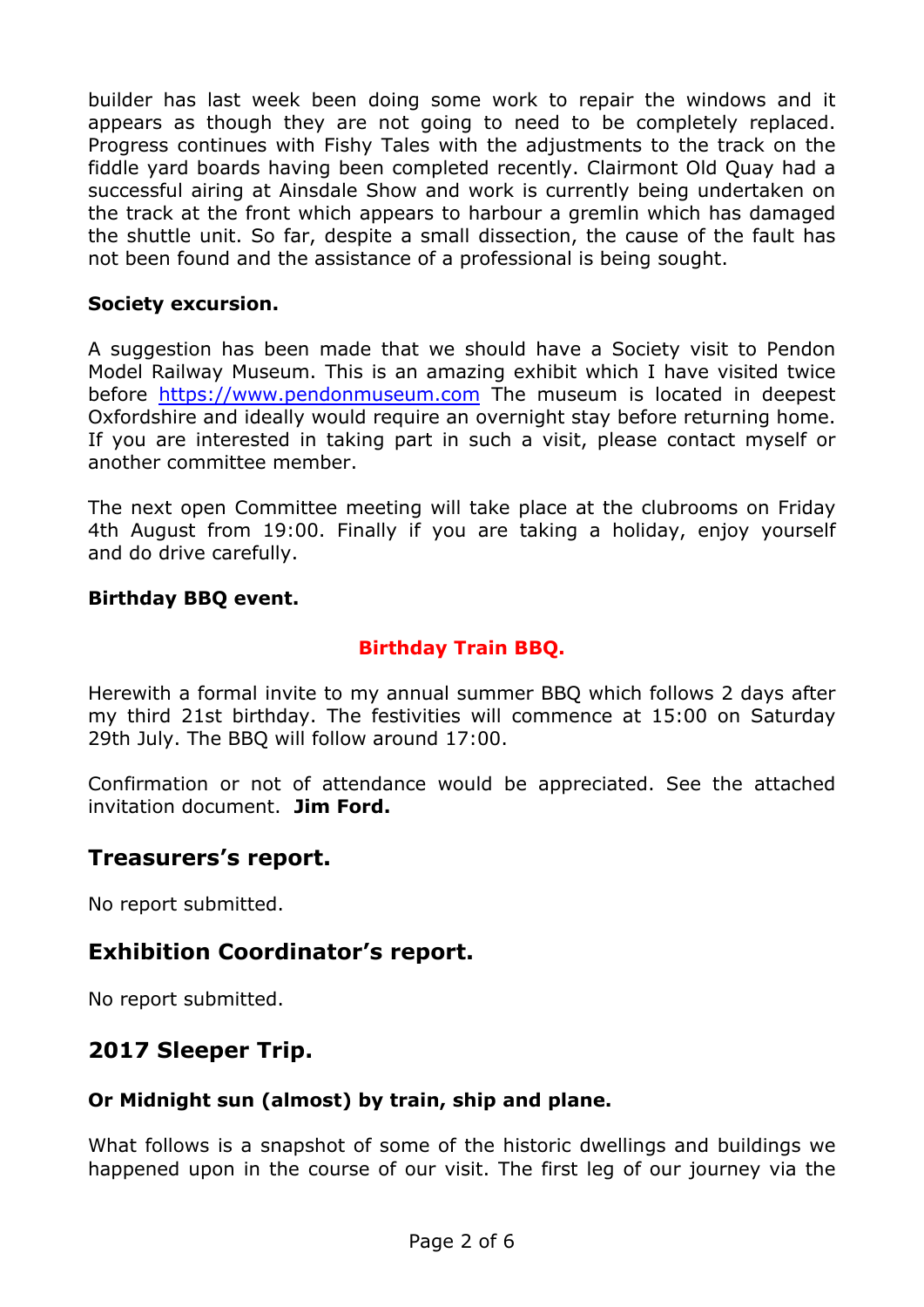builder has last week been doing some work to repair the windows and it appears as though they are not going to need to be completely replaced. Progress continues with Fishy Tales with the adjustments to the track on the fiddle yard boards having been completed recently. Clairmont Old Quay had a successful airing at Ainsdale Show and work is currently being undertaken on the track at the front which appears to harbour a gremlin which has damaged the shuttle unit. So far, despite a small dissection, the cause of the fault has not been found and the assistance of a professional is being sought.

#### **Society excursion.**

A suggestion has been made that we should have a Society visit to Pendon Model Railway Museum. This is an amazing exhibit which I have visited twice before <https://www.pendonmuseum.com> The museum is located in deepest Oxfordshire and ideally would require an overnight stay before returning home. If you are interested in taking part in such a visit, please contact myself or another committee member.

The next open Committee meeting will take place at the clubrooms on Friday 4th August from 19:00. Finally if you are taking a holiday, enjoy yourself and do drive carefully.

#### **Birthday BBQ event.**

#### **Birthday Train BBQ.**

Herewith a formal invite to my annual summer BBQ which follows 2 days after my third 21st birthday. The festivities will commence at 15:00 on Saturday 29th July. The BBQ will follow around 17:00.

Confirmation or not of attendance would be appreciated. See the attached invitation document. **Jim Ford.**

### **Treasurers's report.**

No report submitted.

### **Exhibition Coordinator's report.**

No report submitted.

## **2017 Sleeper Trip.**

#### **Or Midnight sun (almost) by train, ship and plane.**

What follows is a snapshot of some of the historic dwellings and buildings we happened upon in the course of our visit. The first leg of our journey via the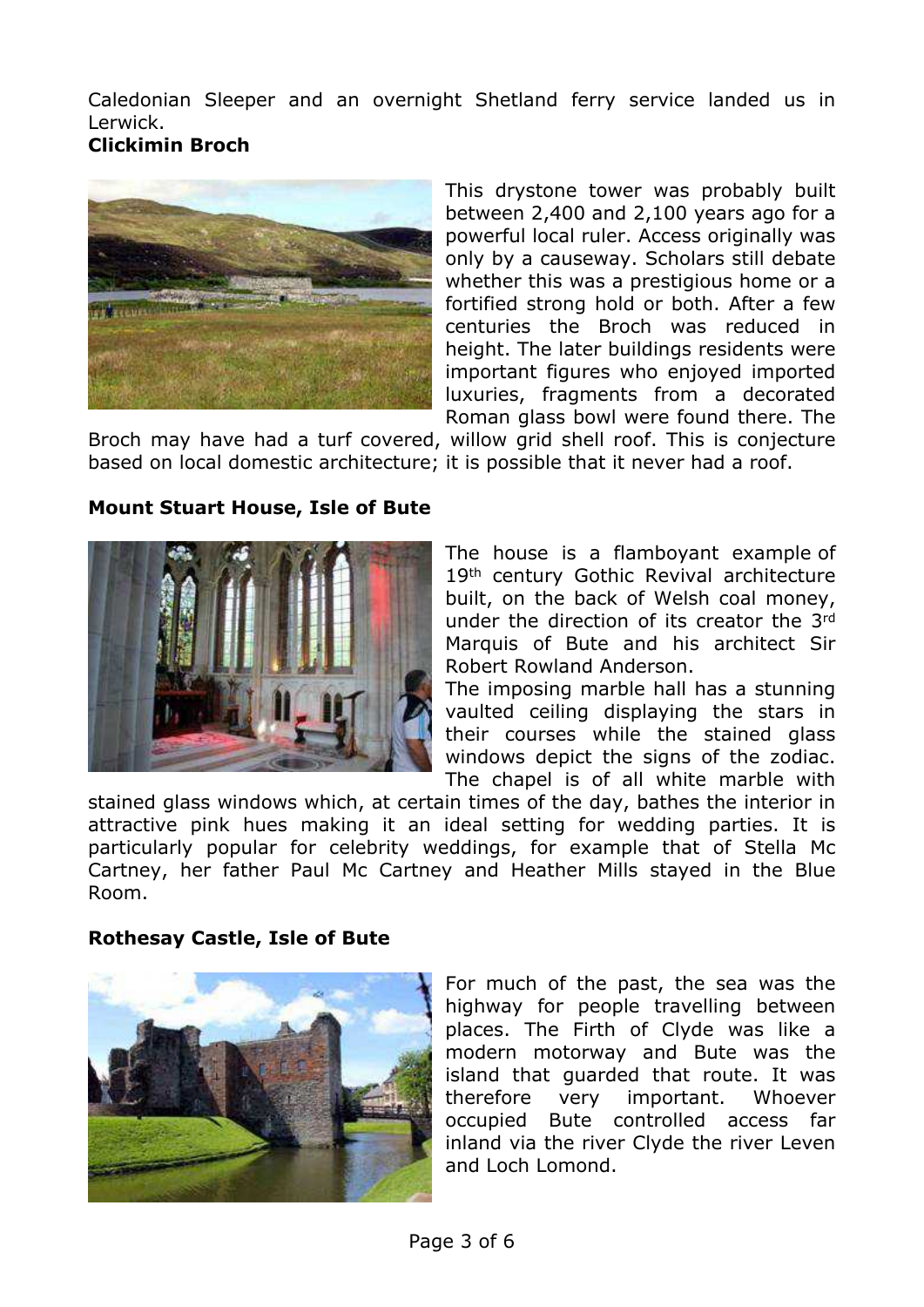Caledonian Sleeper and an overnight Shetland ferry service landed us in Lerwick.

## **Clickimin Broch**



This drystone tower was probably built between 2,400 and 2,100 years ago for a powerful local ruler. Access originally was only by a causeway. Scholars still debate whether this was a prestigious home or a fortified strong hold or both. After a few centuries the Broch was reduced in height. The later buildings residents were important figures who enjoyed imported luxuries, fragments from a decorated Roman glass bowl were found there. The

Broch may have had a turf covered, willow grid shell roof. This is conjecture based on local domestic architecture; it is possible that it never had a roof.

#### **Mount Stuart House, Isle of Bute**



The house is a flamboyant example of 19th century Gothic Revival architecture built, on the back of Welsh coal money, under the direction of its creator the 3rd Marquis of Bute and his architect Sir Robert Rowland Anderson.

The imposing marble hall has a stunning vaulted ceiling displaying the stars in their courses while the stained glass windows depict the signs of the zodiac. The chapel is of all white marble with

stained glass windows which, at certain times of the day, bathes the interior in attractive pink hues making it an ideal setting for wedding parties. It is particularly popular for celebrity weddings, for example that of Stella Mc Cartney, her father Paul Mc Cartney and Heather Mills stayed in the Blue Room.

#### **Rothesay Castle, Isle of Bute**



For much of the past, the sea was the highway for people travelling between places. The Firth of Clyde was like a modern motorway and Bute was the island that guarded that route. It was therefore very important. Whoever occupied Bute controlled access far inland via the river Clyde the river Leven and Loch Lomond.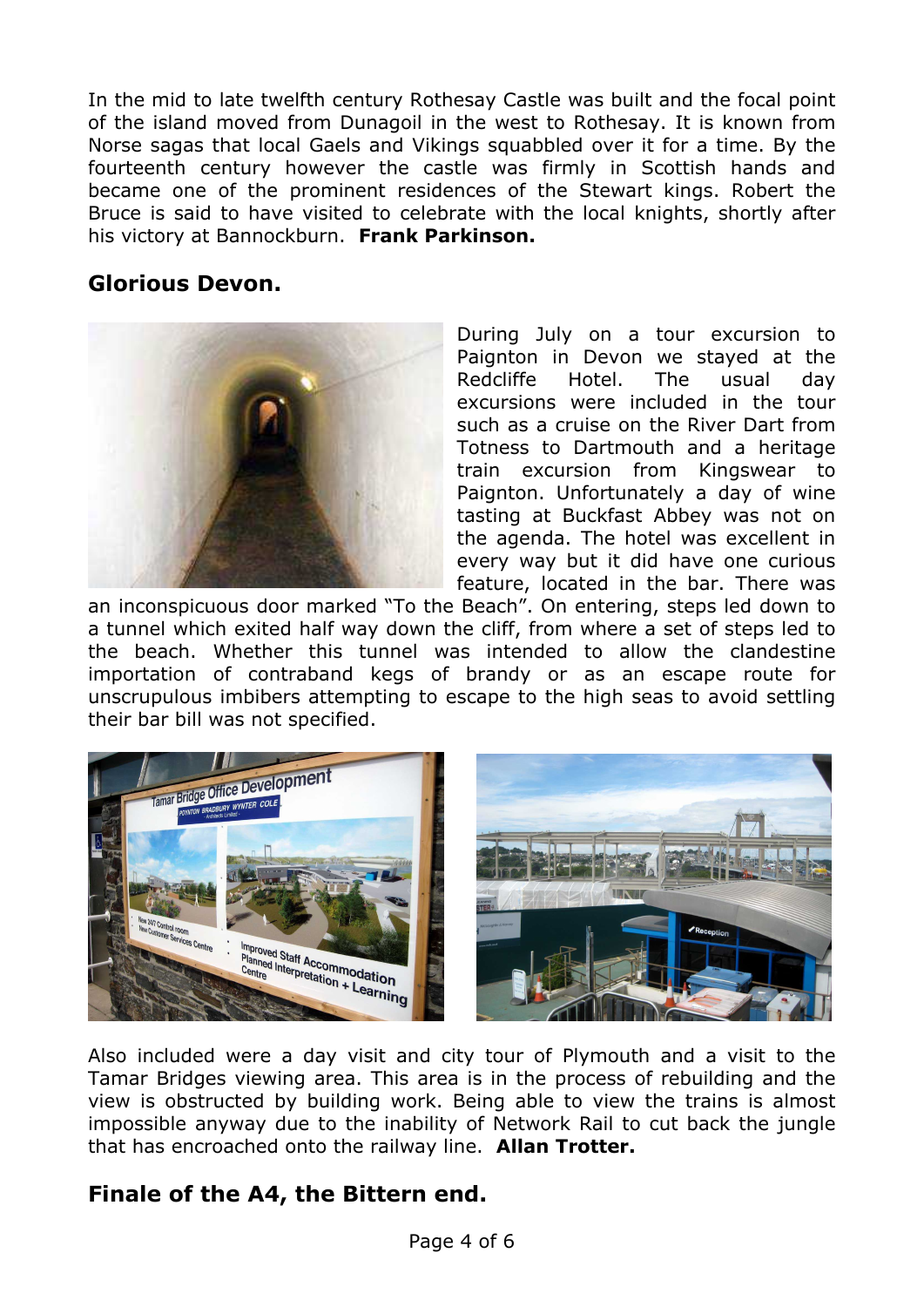In the mid to late twelfth century Rothesay Castle was built and the focal point of the island moved from Dunagoil in the west to Rothesay. It is known from Norse sagas that local Gaels and Vikings squabbled over it for a time. By the fourteenth century however the castle was firmly in Scottish hands and became one of the prominent residences of the Stewart kings. Robert the Bruce is said to have visited to celebrate with the local knights, shortly after his victory at Bannockburn. **Frank Parkinson.**

## **Glorious Devon.**



During July on a tour excursion to Paignton in Devon we stayed at the Redcliffe Hotel. The usual day excursions were included in the tour such as a cruise on the River Dart from Totness to Dartmouth and a heritage train excursion from Kingswear to Paignton. Unfortunately a day of wine tasting at Buckfast Abbey was not on the agenda. The hotel was excellent in every way but it did have one curious feature, located in the bar. There was

an inconspicuous door marked "To the Beach". On entering, steps led down to a tunnel which exited half way down the cliff, from where a set of steps led to the beach. Whether this tunnel was intended to allow the clandestine importation of contraband kegs of brandy or as an escape route for unscrupulous imbibers attempting to escape to the high seas to avoid settling their bar bill was not specified.



Also included were a day visit and city tour of Plymouth and a visit to the Tamar Bridges viewing area. This area is in the process of rebuilding and the view is obstructed by building work. Being able to view the trains is almost impossible anyway due to the inability of Network Rail to cut back the jungle that has encroached onto the railway line. **Allan Trotter.**

# **Finale of the A4, the Bittern end.**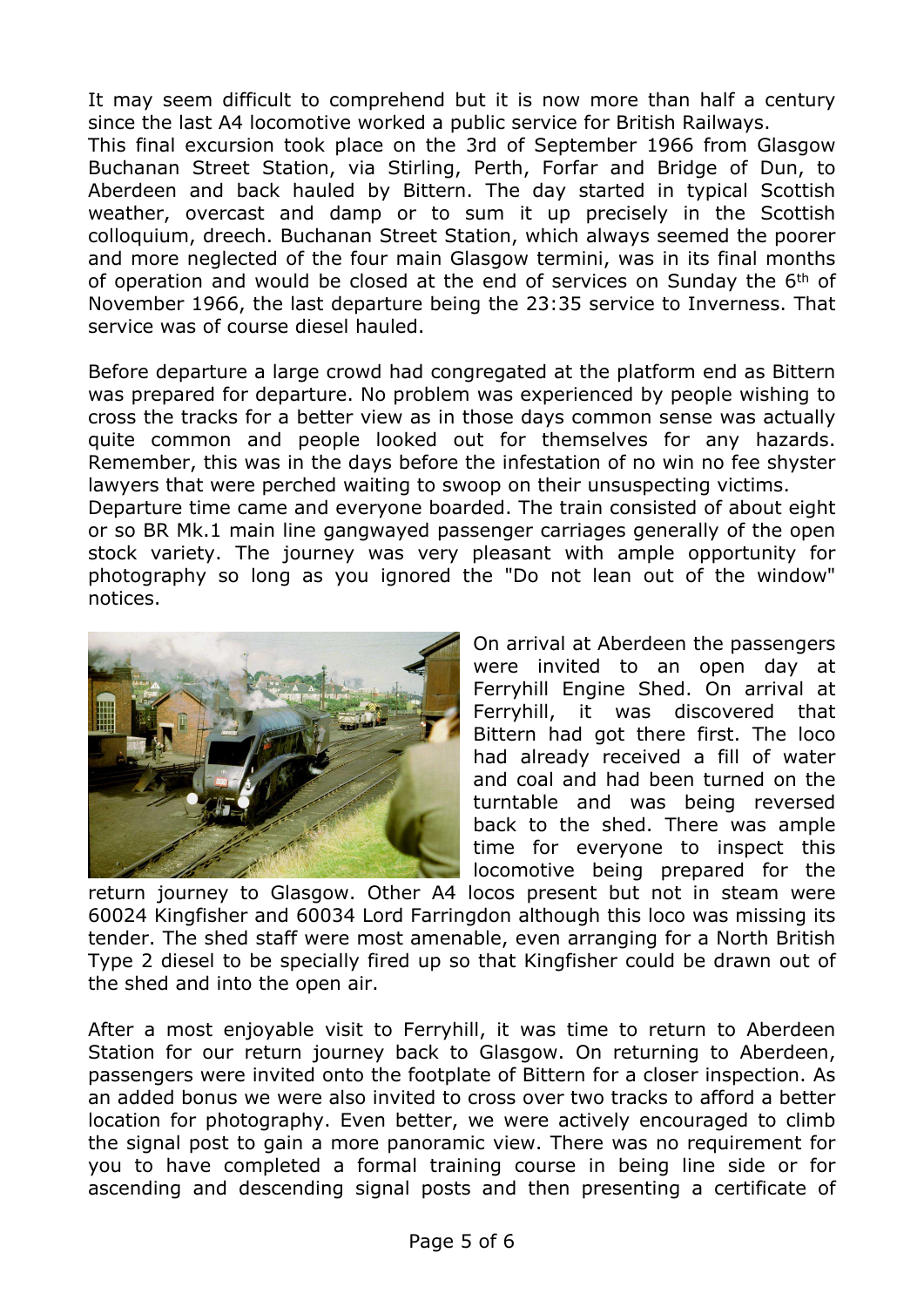It may seem difficult to comprehend but it is now more than half a century since the last A4 locomotive worked a public service for British Railways.

This final excursion took place on the 3rd of September 1966 from Glasgow Buchanan Street Station, via Stirling, Perth, Forfar and Bridge of Dun, to Aberdeen and back hauled by Bittern. The day started in typical Scottish weather, overcast and damp or to sum it up precisely in the Scottish colloquium, dreech. Buchanan Street Station, which always seemed the poorer and more neglected of the four main Glasgow termini, was in its final months of operation and would be closed at the end of services on Sunday the 6<sup>th</sup> of November 1966, the last departure being the 23:35 service to Inverness. That service was of course diesel hauled.

Before departure a large crowd had congregated at the platform end as Bittern was prepared for departure. No problem was experienced by people wishing to cross the tracks for a better view as in those days common sense was actually quite common and people looked out for themselves for any hazards. Remember, this was in the days before the infestation of no win no fee shyster lawyers that were perched waiting to swoop on their unsuspecting victims. Departure time came and everyone boarded. The train consisted of about eight or so BR Mk.1 main line gangwayed passenger carriages generally of the open stock variety. The journey was very pleasant with ample opportunity for photography so long as you ignored the "Do not lean out of the window" notices.



On arrival at Aberdeen the passengers were invited to an open day at Ferryhill Engine Shed. On arrival at Ferryhill, it was discovered that Bittern had got there first. The loco had already received a fill of water and coal and had been turned on the turntable and was being reversed back to the shed. There was ample time for everyone to inspect this locomotive being prepared for the

return journey to Glasgow. Other A4 locos present but not in steam were 60024 Kingfisher and 60034 Lord Farringdon although this loco was missing its tender. The shed staff were most amenable, even arranging for a North British Type 2 diesel to be specially fired up so that Kingfisher could be drawn out of the shed and into the open air.

After a most enjoyable visit to Ferryhill, it was time to return to Aberdeen Station for our return journey back to Glasgow. On returning to Aberdeen, passengers were invited onto the footplate of Bittern for a closer inspection. As an added bonus we were also invited to cross over two tracks to afford a better location for photography. Even better, we were actively encouraged to climb the signal post to gain a more panoramic view. There was no requirement for you to have completed a formal training course in being line side or for ascending and descending signal posts and then presenting a certificate of